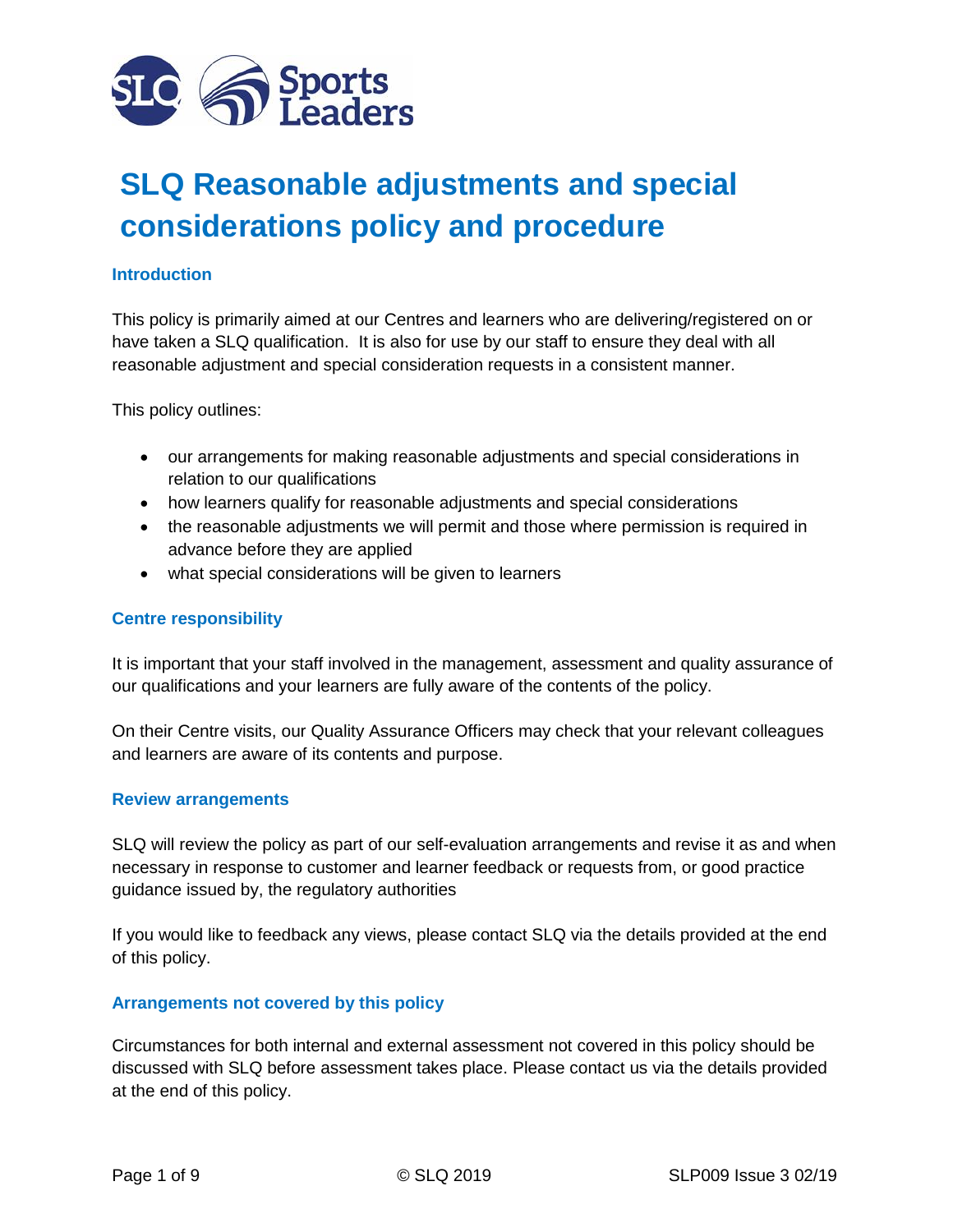

# **SLQ Reasonable adjustments and special considerations policy and procedure**

## **Introduction**

This policy is primarily aimed at our Centres and learners who are delivering/registered on or have taken a SLQ qualification. It is also for use by our staff to ensure they deal with all reasonable adjustment and special consideration requests in a consistent manner.

This policy outlines:

- our arrangements for making reasonable adjustments and special considerations in relation to our qualifications
- how learners qualify for reasonable adjustments and special considerations
- the reasonable adjustments we will permit and those where permission is required in advance before they are applied
- what special considerations will be given to learners

#### **Centre responsibility**

It is important that your staff involved in the management, assessment and quality assurance of our qualifications and your learners are fully aware of the contents of the policy.

On their Centre visits, our Quality Assurance Officers may check that your relevant colleagues and learners are aware of its contents and purpose.

#### **Review arrangements**

SLQ will review the policy as part of our self-evaluation arrangements and revise it as and when necessary in response to customer and learner feedback or requests from, or good practice guidance issued by, the regulatory authorities

If you would like to feedback any views, please contact SLQ via the details provided at the end of this policy.

#### **Arrangements not covered by this policy**

Circumstances for both internal and external assessment not covered in this policy should be discussed with SLQ before assessment takes place. Please contact us via the details provided at the end of this policy.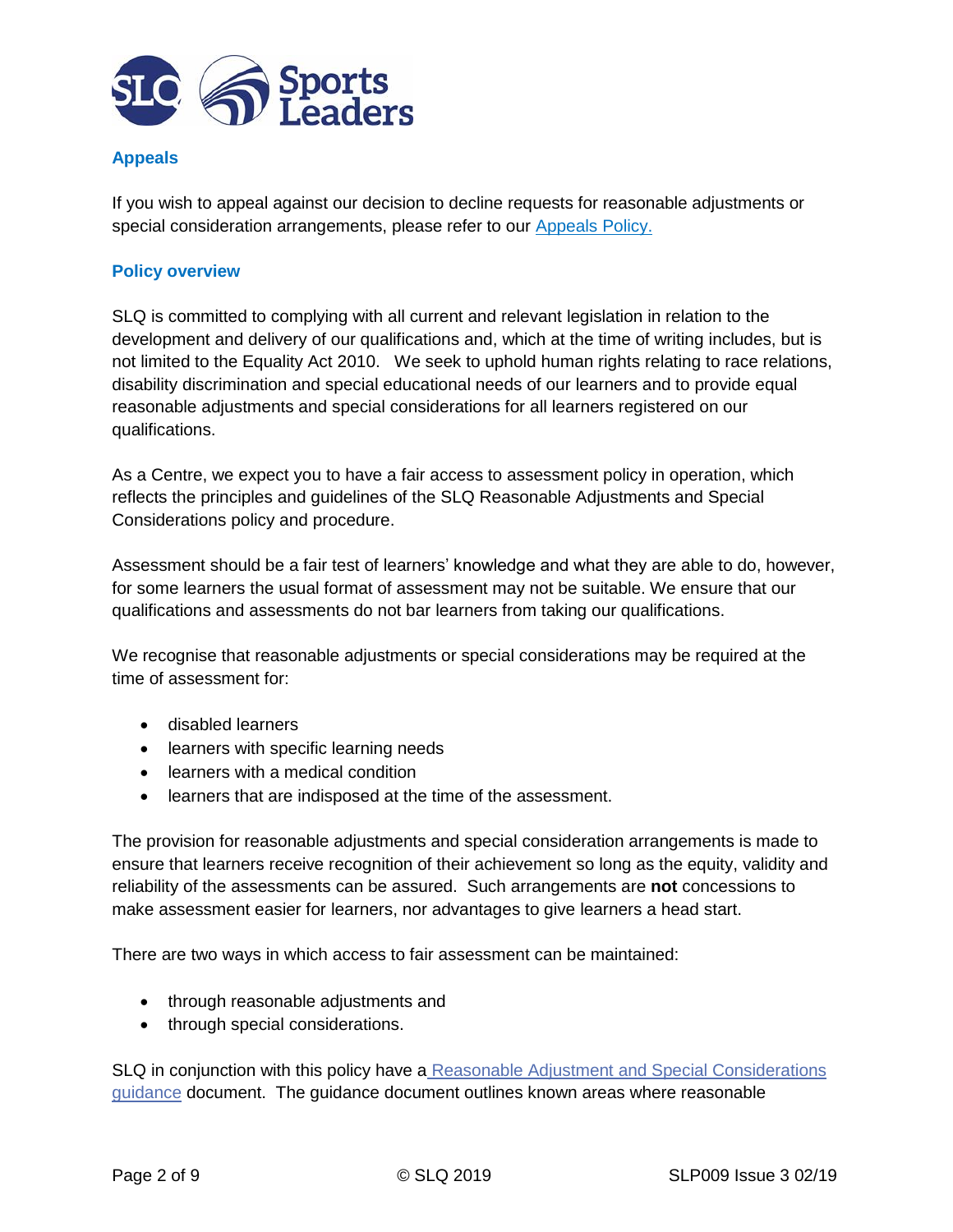

# **Appeals**

If you wish to appeal against our decision to decline requests for reasonable adjustments or special consideration arrangements, please refer to our [Appeals Policy.](https://association.sportsleaders.org/media/880481/slp001-appeals-policy-version-6-feb-19.pdf)

# **Policy overview**

SLQ is committed to complying with all current and relevant legislation in relation to the development and delivery of our qualifications and, which at the time of writing includes, but is not limited to the Equality Act 2010. We seek to uphold human rights relating to race relations, disability discrimination and special educational needs of our learners and to provide equal reasonable adjustments and special considerations for all learners registered on our qualifications.

As a Centre, we expect you to have a fair access to assessment policy in operation, which reflects the principles and guidelines of the SLQ Reasonable Adjustments and Special Considerations policy and procedure.

Assessment should be a fair test of learners' knowledge and what they are able to do, however, for some learners the usual format of assessment may not be suitable. We ensure that our qualifications and assessments do not bar learners from taking our qualifications.

We recognise that reasonable adjustments or special considerations may be required at the time of assessment for:

- disabled learners
- learners with specific learning needs
- learners with a medical condition
- learners that are indisposed at the time of the assessment.

The provision for reasonable adjustments and special consideration arrangements is made to ensure that learners receive recognition of their achievement so long as the equity, validity and reliability of the assessments can be assured. Such arrangements are **not** concessions to make assessment easier for learners, nor advantages to give learners a head start.

There are two ways in which access to fair assessment can be maintained:

- through reasonable adjustments and
- through special considerations.

SLQ in conjunction with this policy have a [Reasonable Adjustment and Special Considerations](https://association.sportsleaders.org/media/880498/reasonable-adjustements-and-special-consideration-policy-feb-2019-1.pdf)  [guidance](https://association.sportsleaders.org/media/880498/reasonable-adjustements-and-special-consideration-policy-feb-2019-1.pdf) document. The guidance document outlines known areas where reasonable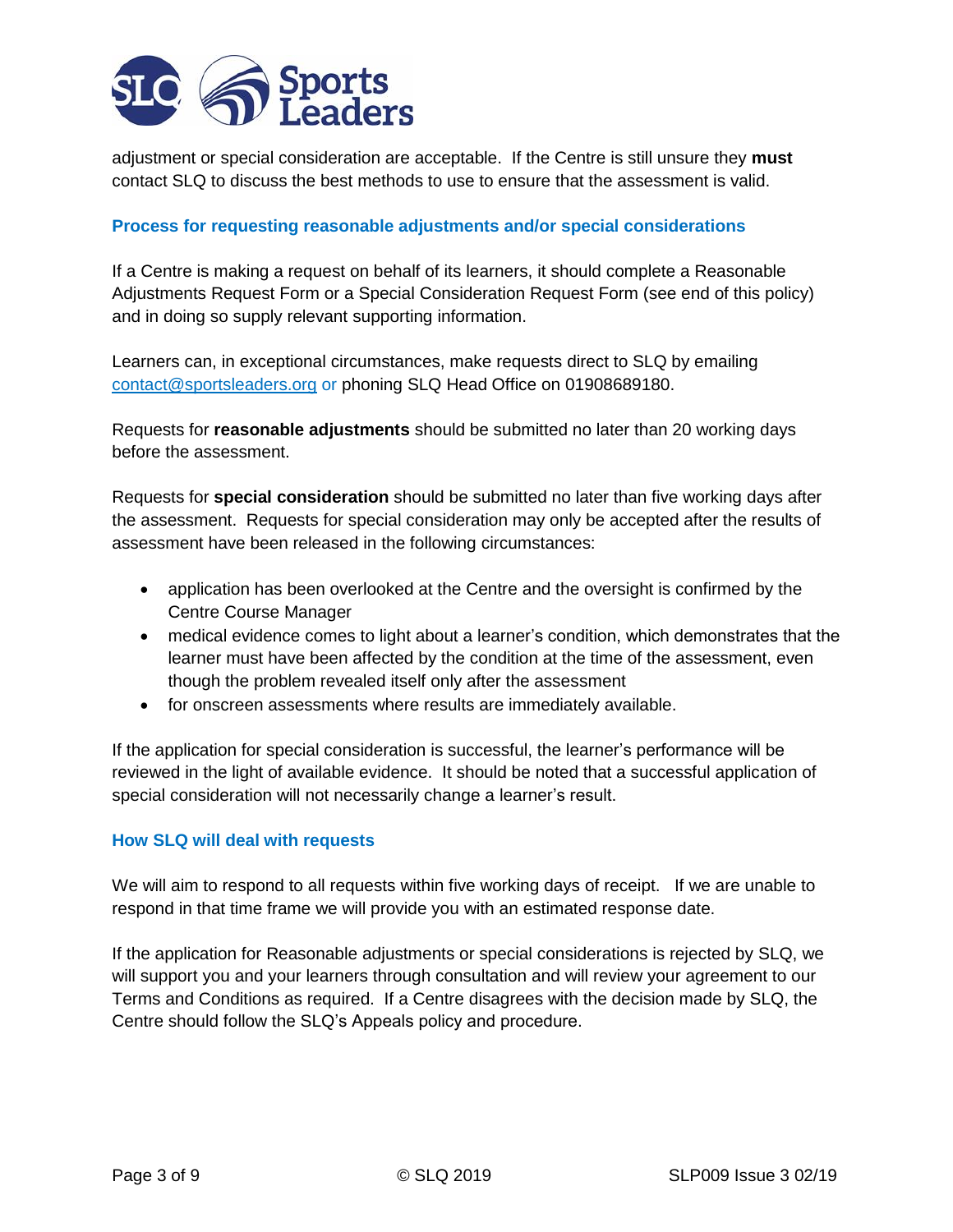

adjustment or special consideration are acceptable. If the Centre is still unsure they **must**  contact SLQ to discuss the best methods to use to ensure that the assessment is valid.

## **Process for requesting reasonable adjustments and/or special considerations**

If a Centre is making a request on behalf of its learners, it should complete a Reasonable Adjustments Request Form or a Special Consideration Request Form (see end of this policy) and in doing so supply relevant supporting information.

Learners can, in exceptional circumstances, make requests direct to SLQ by emailing [contact@sportsleaders.org](mailto:contact@sportsleaders.org) or phoning SLQ Head Office on 01908689180.

Requests for **reasonable adjustments** should be submitted no later than 20 working days before the assessment.

Requests for **special consideration** should be submitted no later than five working days after the assessment. Requests for special consideration may only be accepted after the results of assessment have been released in the following circumstances:

- application has been overlooked at the Centre and the oversight is confirmed by the Centre Course Manager
- medical evidence comes to light about a learner's condition, which demonstrates that the learner must have been affected by the condition at the time of the assessment, even though the problem revealed itself only after the assessment
- for onscreen assessments where results are immediately available.

If the application for special consideration is successful, the learner's performance will be reviewed in the light of available evidence. It should be noted that a successful application of special consideration will not necessarily change a learner's result.

#### **How SLQ will deal with requests**

We will aim to respond to all requests within five working days of receipt. If we are unable to respond in that time frame we will provide you with an estimated response date.

If the application for Reasonable adjustments or special considerations is rejected by SLQ, we will support you and your learners through consultation and will review your agreement to our Terms and Conditions as required. If a Centre disagrees with the decision made by SLQ, the Centre should follow the SLQ's Appeals policy and procedure.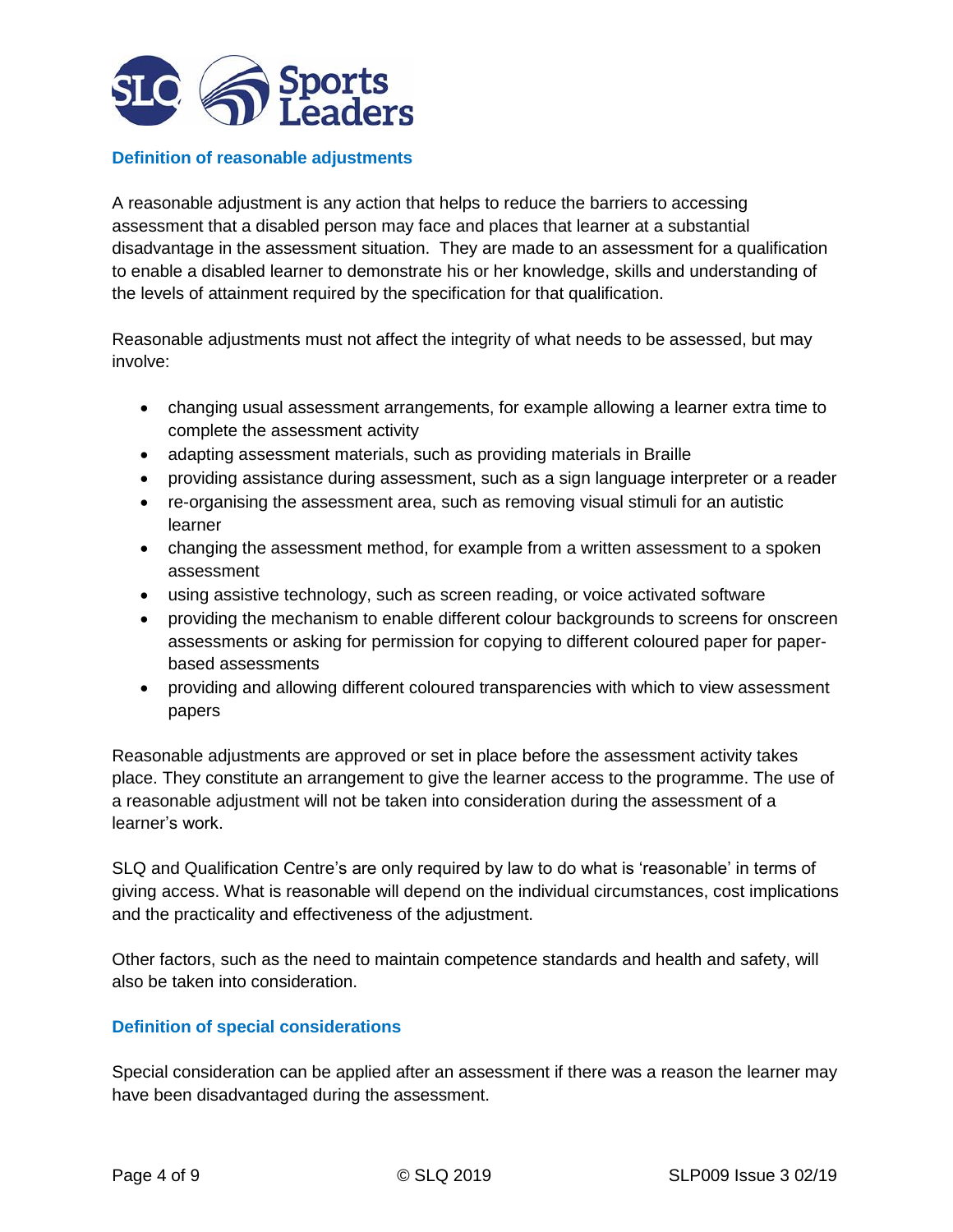

#### **Definition of reasonable adjustments**

A reasonable adjustment is any action that helps to reduce the barriers to accessing assessment that a disabled person may face and places that learner at a substantial disadvantage in the assessment situation. They are made to an assessment for a qualification to enable a disabled learner to demonstrate his or her knowledge, skills and understanding of the levels of attainment required by the specification for that qualification.

Reasonable adjustments must not affect the integrity of what needs to be assessed, but may involve:

- changing usual assessment arrangements, for example allowing a learner extra time to complete the assessment activity
- adapting assessment materials, such as providing materials in Braille
- providing assistance during assessment, such as a sign language interpreter or a reader
- re-organising the assessment area, such as removing visual stimuli for an autistic learner
- changing the assessment method, for example from a written assessment to a spoken assessment
- using assistive technology, such as screen reading, or voice activated software
- providing the mechanism to enable different colour backgrounds to screens for onscreen assessments or asking for permission for copying to different coloured paper for paperbased assessments
- providing and allowing different coloured transparencies with which to view assessment papers

Reasonable adjustments are approved or set in place before the assessment activity takes place. They constitute an arrangement to give the learner access to the programme. The use of a reasonable adjustment will not be taken into consideration during the assessment of a learner's work.

SLQ and Qualification Centre's are only required by law to do what is 'reasonable' in terms of giving access. What is reasonable will depend on the individual circumstances, cost implications and the practicality and effectiveness of the adjustment.

Other factors, such as the need to maintain competence standards and health and safety, will also be taken into consideration.

# **Definition of special considerations**

Special consideration can be applied after an assessment if there was a reason the learner may have been disadvantaged during the assessment.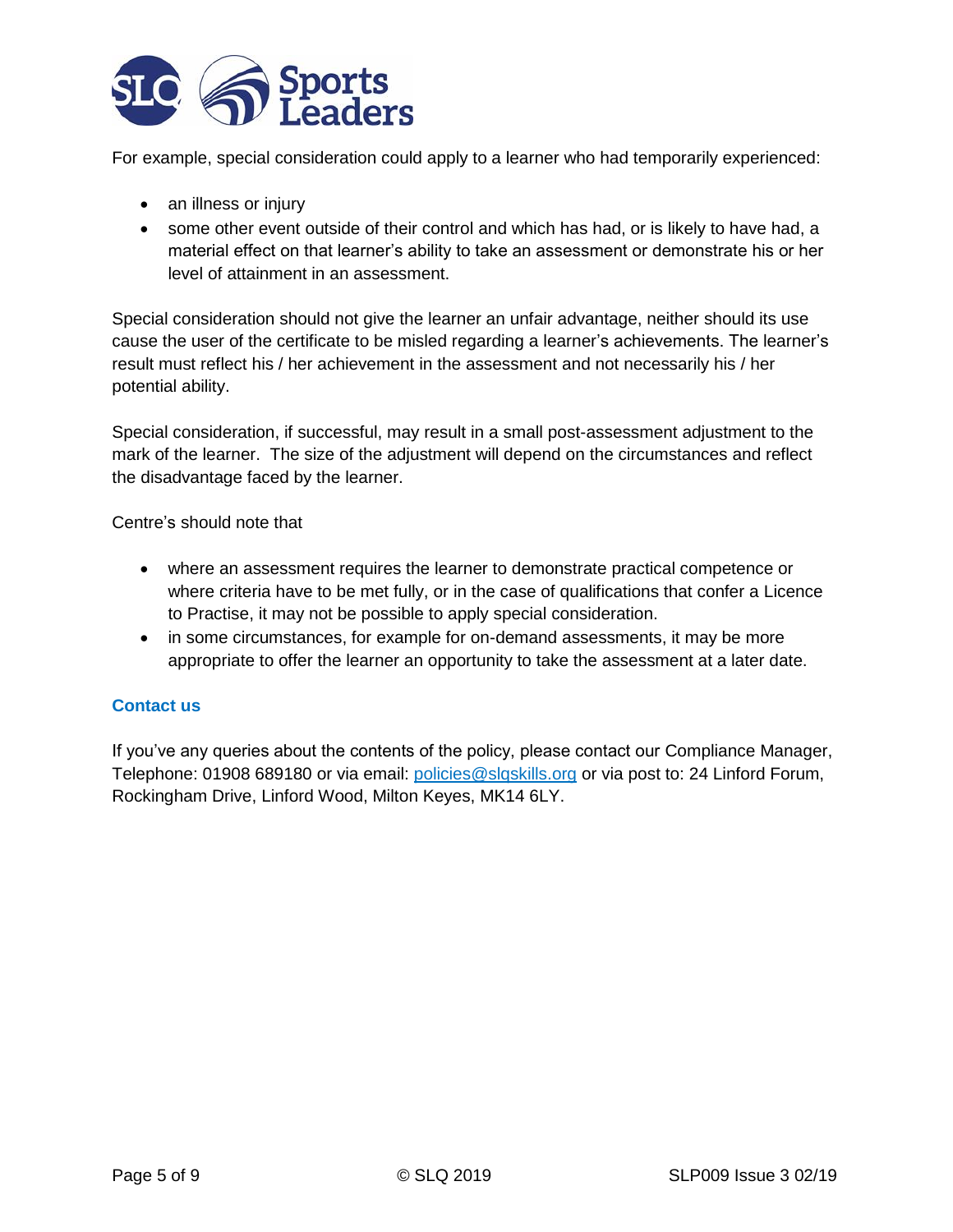

For example, special consideration could apply to a learner who had temporarily experienced:

- an illness or injury
- some other event outside of their control and which has had, or is likely to have had, a material effect on that learner's ability to take an assessment or demonstrate his or her level of attainment in an assessment.

Special consideration should not give the learner an unfair advantage, neither should its use cause the user of the certificate to be misled regarding a learner's achievements. The learner's result must reflect his / her achievement in the assessment and not necessarily his / her potential ability.

Special consideration, if successful, may result in a small post-assessment adjustment to the mark of the learner. The size of the adjustment will depend on the circumstances and reflect the disadvantage faced by the learner.

Centre's should note that

- where an assessment requires the learner to demonstrate practical competence or where criteria have to be met fully, or in the case of qualifications that confer a Licence to Practise, it may not be possible to apply special consideration.
- in some circumstances, for example for on-demand assessments, it may be more appropriate to offer the learner an opportunity to take the assessment at a later date.

# **Contact us**

If you've any queries about the contents of the policy, please contact our Compliance Manager, Telephone: 01908 689180 or via email: [policies@slqskills.org](mailto:policies@slqskills.org) or via post to: 24 Linford Forum, Rockingham Drive, Linford Wood, Milton Keyes, MK14 6LY.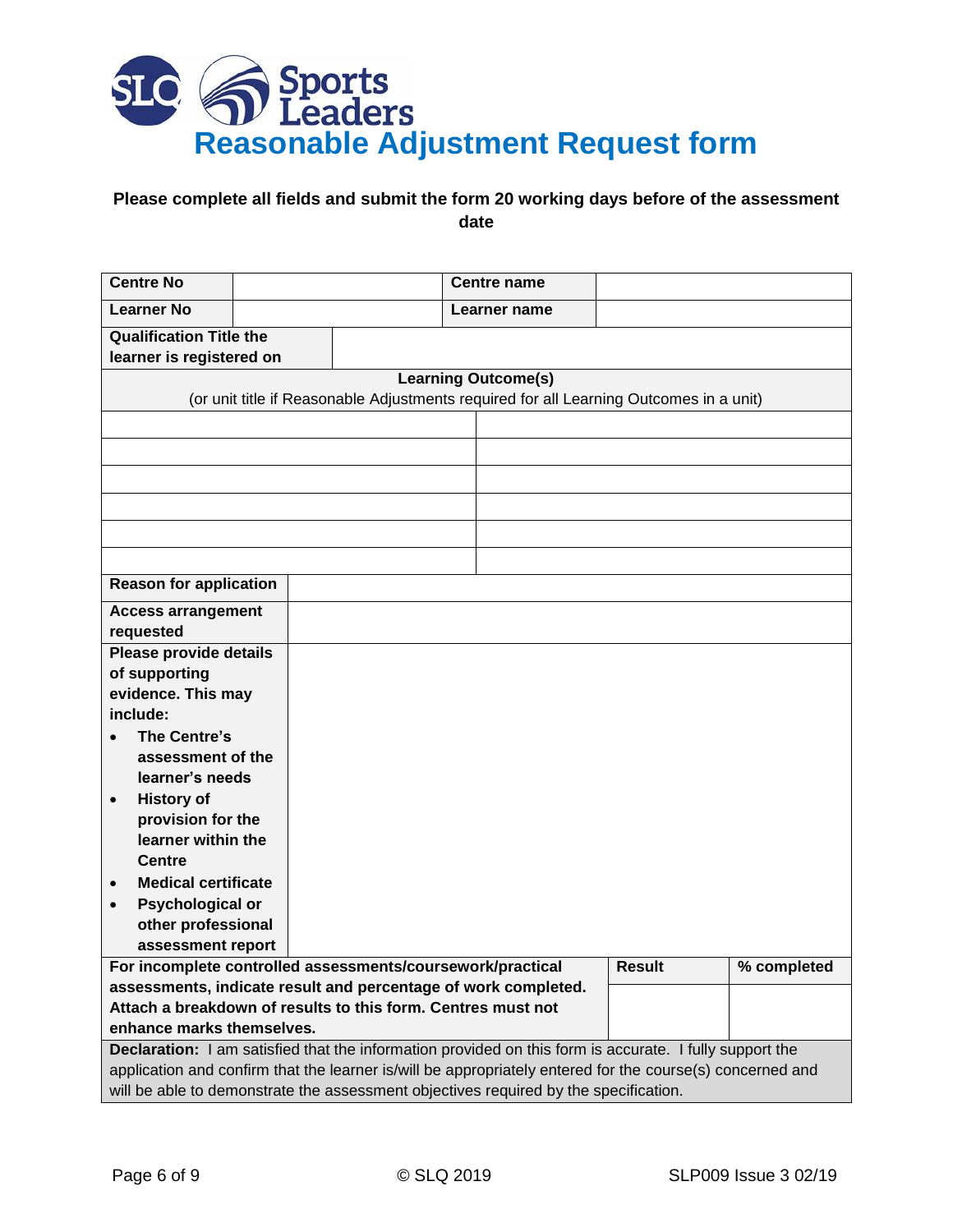

# **Please complete all fields and submit the form 20 working days before of the assessment date**

| <b>Centre No</b>                                                                                                     |  |  | <b>Centre name</b>                                                                                        |             |  |  |
|----------------------------------------------------------------------------------------------------------------------|--|--|-----------------------------------------------------------------------------------------------------------|-------------|--|--|
| <b>Learner No</b>                                                                                                    |  |  | Learner name                                                                                              |             |  |  |
| <b>Qualification Title the</b>                                                                                       |  |  |                                                                                                           |             |  |  |
| learner is registered on                                                                                             |  |  |                                                                                                           |             |  |  |
| <b>Learning Outcome(s)</b><br>(or unit title if Reasonable Adjustments required for all Learning Outcomes in a unit) |  |  |                                                                                                           |             |  |  |
|                                                                                                                      |  |  |                                                                                                           |             |  |  |
|                                                                                                                      |  |  |                                                                                                           |             |  |  |
|                                                                                                                      |  |  |                                                                                                           |             |  |  |
|                                                                                                                      |  |  |                                                                                                           |             |  |  |
|                                                                                                                      |  |  |                                                                                                           |             |  |  |
|                                                                                                                      |  |  |                                                                                                           |             |  |  |
| <b>Reason for application</b>                                                                                        |  |  |                                                                                                           |             |  |  |
| <b>Access arrangement</b>                                                                                            |  |  |                                                                                                           |             |  |  |
| requested                                                                                                            |  |  |                                                                                                           |             |  |  |
| Please provide details                                                                                               |  |  |                                                                                                           |             |  |  |
| of supporting                                                                                                        |  |  |                                                                                                           |             |  |  |
| evidence. This may                                                                                                   |  |  |                                                                                                           |             |  |  |
| include:                                                                                                             |  |  |                                                                                                           |             |  |  |
| The Centre's                                                                                                         |  |  |                                                                                                           |             |  |  |
| assessment of the                                                                                                    |  |  |                                                                                                           |             |  |  |
| learner's needs                                                                                                      |  |  |                                                                                                           |             |  |  |
| <b>History of</b><br>$\bullet$                                                                                       |  |  |                                                                                                           |             |  |  |
| provision for the                                                                                                    |  |  |                                                                                                           |             |  |  |
| learner within the                                                                                                   |  |  |                                                                                                           |             |  |  |
| <b>Centre</b>                                                                                                        |  |  |                                                                                                           |             |  |  |
| <b>Medical certificate</b>                                                                                           |  |  |                                                                                                           |             |  |  |
| <b>Psychological or</b><br>$\bullet$                                                                                 |  |  |                                                                                                           |             |  |  |
| other professional                                                                                                   |  |  |                                                                                                           |             |  |  |
| assessment report                                                                                                    |  |  |                                                                                                           |             |  |  |
| For incomplete controlled assessments/coursework/practical                                                           |  |  | Result                                                                                                    | % completed |  |  |
| assessments, indicate result and percentage of work completed.                                                       |  |  |                                                                                                           |             |  |  |
| Attach a breakdown of results to this form. Centres must not                                                         |  |  |                                                                                                           |             |  |  |
| enhance marks themselves.                                                                                            |  |  |                                                                                                           |             |  |  |
| Declaration: I am satisfied that the information provided on this form is accurate. I fully support the              |  |  |                                                                                                           |             |  |  |
|                                                                                                                      |  |  | application and confirm that the learner is/will be appropriately entered for the course(s) concerned and |             |  |  |
| will be able to demonstrate the assessment objectives required by the specification.                                 |  |  |                                                                                                           |             |  |  |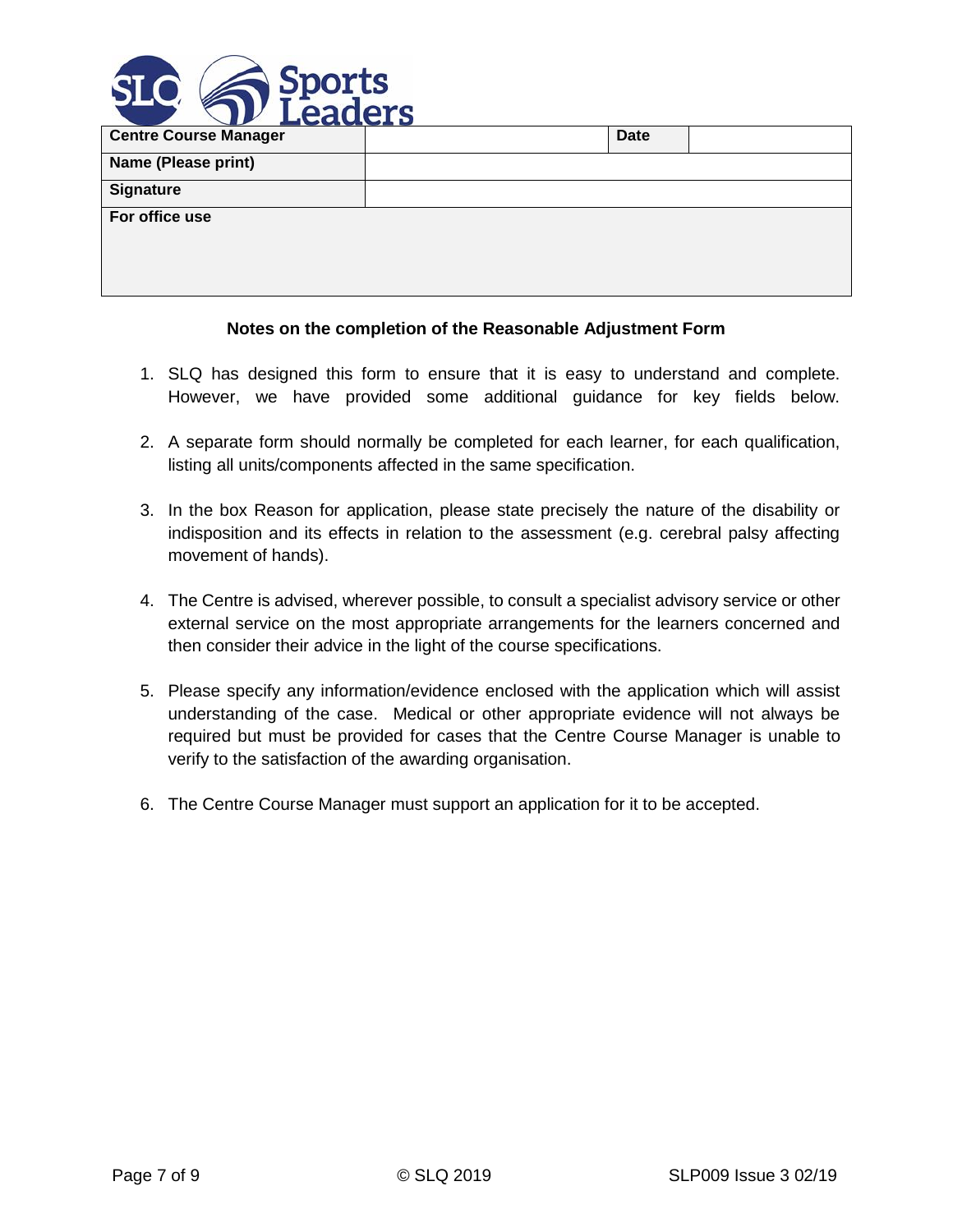

| <b>EUCLULE</b>               |             |  |
|------------------------------|-------------|--|
| <b>Centre Course Manager</b> | <b>Date</b> |  |
| Name (Please print)          |             |  |
| <b>Signature</b>             |             |  |
| For office use               |             |  |

#### **Notes on the completion of the Reasonable Adjustment Form**

- 1. SLQ has designed this form to ensure that it is easy to understand and complete. However, we have provided some additional guidance for key fields below.
- 2. A separate form should normally be completed for each learner, for each qualification, listing all units/components affected in the same specification.
- 3. In the box Reason for application, please state precisely the nature of the disability or indisposition and its effects in relation to the assessment (e.g. cerebral palsy affecting movement of hands).
- 4. The Centre is advised, wherever possible, to consult a specialist advisory service or other external service on the most appropriate arrangements for the learners concerned and then consider their advice in the light of the course specifications.
- 5. Please specify any information/evidence enclosed with the application which will assist understanding of the case. Medical or other appropriate evidence will not always be required but must be provided for cases that the Centre Course Manager is unable to verify to the satisfaction of the awarding organisation.
- 6. The Centre Course Manager must support an application for it to be accepted.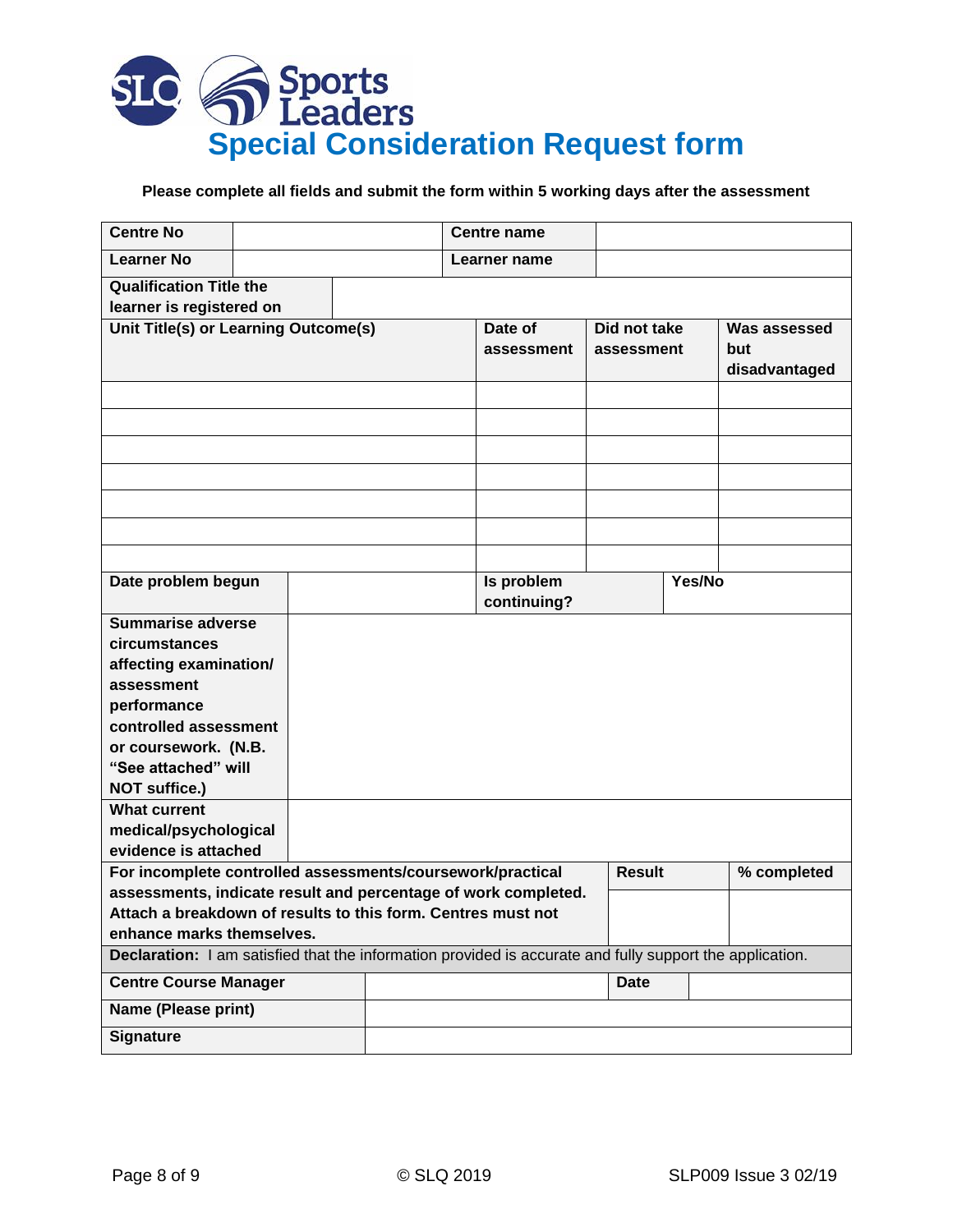

# **Please complete all fields and submit the form within 5 working days after the assessment**

| <b>Centre No</b>                                                                                         |  |  |  | <b>Centre name</b>    |                           |                            |             |                                      |
|----------------------------------------------------------------------------------------------------------|--|--|--|-----------------------|---------------------------|----------------------------|-------------|--------------------------------------|
| <b>Learner No</b>                                                                                        |  |  |  | Learner name          |                           |                            |             |                                      |
| <b>Qualification Title the</b>                                                                           |  |  |  |                       |                           |                            |             |                                      |
| learner is registered on                                                                                 |  |  |  |                       |                           |                            |             |                                      |
| Unit Title(s) or Learning Outcome(s)                                                                     |  |  |  | Date of<br>assessment |                           | Did not take<br>assessment |             | Was assessed<br>but<br>disadvantaged |
|                                                                                                          |  |  |  |                       |                           |                            |             |                                      |
|                                                                                                          |  |  |  |                       |                           |                            |             |                                      |
|                                                                                                          |  |  |  |                       |                           |                            |             |                                      |
|                                                                                                          |  |  |  |                       |                           |                            |             |                                      |
|                                                                                                          |  |  |  |                       |                           |                            |             |                                      |
|                                                                                                          |  |  |  |                       |                           |                            |             |                                      |
|                                                                                                          |  |  |  |                       |                           |                            |             |                                      |
| Date problem begun                                                                                       |  |  |  |                       | Is problem<br>continuing? |                            | Yes/No      |                                      |
| <b>Summarise adverse</b>                                                                                 |  |  |  |                       |                           |                            |             |                                      |
| circumstances                                                                                            |  |  |  |                       |                           |                            |             |                                      |
| affecting examination/                                                                                   |  |  |  |                       |                           |                            |             |                                      |
| assessment                                                                                               |  |  |  |                       |                           |                            |             |                                      |
| performance                                                                                              |  |  |  |                       |                           |                            |             |                                      |
| controlled assessment                                                                                    |  |  |  |                       |                           |                            |             |                                      |
| or coursework. (N.B.                                                                                     |  |  |  |                       |                           |                            |             |                                      |
| "See attached" will                                                                                      |  |  |  |                       |                           |                            |             |                                      |
| NOT suffice.)                                                                                            |  |  |  |                       |                           |                            |             |                                      |
| <b>What current</b>                                                                                      |  |  |  |                       |                           |                            |             |                                      |
| medical/psychological                                                                                    |  |  |  |                       |                           |                            |             |                                      |
| evidence is attached                                                                                     |  |  |  |                       |                           |                            |             |                                      |
| For incomplete controlled assessments/coursework/practical                                               |  |  |  | <b>Result</b>         |                           |                            | % completed |                                      |
| assessments, indicate result and percentage of work completed.                                           |  |  |  |                       |                           |                            |             |                                      |
| Attach a breakdown of results to this form. Centres must not                                             |  |  |  |                       |                           |                            |             |                                      |
| enhance marks themselves.                                                                                |  |  |  |                       |                           |                            |             |                                      |
| Declaration: I am satisfied that the information provided is accurate and fully support the application. |  |  |  |                       |                           |                            |             |                                      |
| <b>Centre Course Manager</b>                                                                             |  |  |  |                       |                           | <b>Date</b>                |             |                                      |
| Name (Please print)                                                                                      |  |  |  |                       |                           |                            |             |                                      |
| <b>Signature</b>                                                                                         |  |  |  |                       |                           |                            |             |                                      |